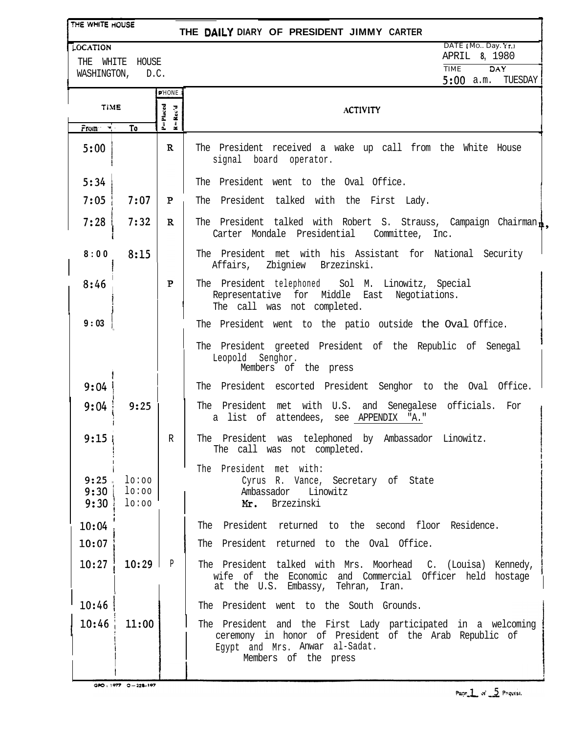| THE WHITE HOUSE<br>THE DAILY DIARY OF PRESIDENT JIMMY CARTER |                         |                                                                      |                                                                                                                                                                                  |
|--------------------------------------------------------------|-------------------------|----------------------------------------------------------------------|----------------------------------------------------------------------------------------------------------------------------------------------------------------------------------|
| LOCATION<br>WHITE HOUSE<br>THE .<br>WASHINGTON, D.C.         |                         |                                                                      | DATE (Mo., Day, Yr.)<br>APRIL 8, 1980                                                                                                                                            |
|                                                              |                         |                                                                      | DAY<br><b>TIME</b><br>$5:00$ a.m.<br>TUESDAY                                                                                                                                     |
| <b>PHONE</b>                                                 |                         |                                                                      |                                                                                                                                                                                  |
| TIME<br>$From \rightarrow \blacksquare$<br>To                |                         | P=Placed<br>$\mathbf{R} = \mathbf{R}\mathbf{c}\mathbf{c}'\mathbf{d}$ | <b>ACTIVITY</b>                                                                                                                                                                  |
| 5:00                                                         |                         | $\mathbf R$                                                          | The President received a wake up call from the White House<br>signal board operator.                                                                                             |
| 5:34                                                         |                         |                                                                      | The President went to the Oval Office.                                                                                                                                           |
| 7:05                                                         | 7:07                    | P                                                                    | President talked with the First Lady.<br>The                                                                                                                                     |
| 7:28                                                         | 7:32                    | $\mathbf{R}$                                                         | The President talked with Robert S. Strauss, Campaign Chairman .<br>Carter Mondale Presidential Committee, Inc.                                                                  |
| 8:00                                                         | 8:15                    |                                                                      | The President met with his Assistant for National Security<br>Affairs, Zbigniew Brzezinski.                                                                                      |
| 8:46                                                         |                         | P                                                                    | The President telephoned Sol M. Linowitz, Special<br>Representative for Middle East<br>Negotiations.<br>The call was not completed.                                              |
| 9:03                                                         |                         |                                                                      | The President went to the patio outside the Oval Office.                                                                                                                         |
|                                                              |                         |                                                                      | The President greeted President of the Republic of Senegal<br>Leopold Senghor.<br>Members of the press                                                                           |
| 9:04                                                         |                         |                                                                      | The President escorted President Senghor to the Oval Office.                                                                                                                     |
| 9:04                                                         | 9:25                    |                                                                      | The President met with U.S. and Senegalese officials. For<br>a list of attendees, see APPENDIX "A."                                                                              |
| 9:15                                                         |                         | $\mathbb{R}$                                                         | The President was telephoned by Ambassador Linowitz.<br>The call was not completed.                                                                                              |
| 9:25<br>9:30<br>9:30                                         | 10:00<br>lo:oo<br>lo:oo |                                                                      | The President met with:<br>Cyrus R. Vance, Secretary of State<br>Ambassador Linowitz<br>Mr. Brzezinski                                                                           |
| 10:04                                                        |                         |                                                                      | The President returned to the second floor Residence.                                                                                                                            |
| 10:07                                                        |                         |                                                                      | The President returned to the Oval Office.                                                                                                                                       |
| 10:27                                                        | $10:29$ P               |                                                                      | The President talked with Mrs. Moorhead C. (Louisa) Kennedy,<br>wife of the Economic and Commercial Officer held hostage<br>at the U.S. Embassy, Tehran, Iran.                   |
| 10:46                                                        |                         |                                                                      | The President went to the South Grounds.                                                                                                                                         |
| 10:46                                                        | 11:00                   |                                                                      | The President and the First Lady participated in a welcoming<br>ceremony in honor of President of the Arab Republic of<br>Egypt and Mrs. Anwar al-Sadat.<br>Members of the press |

GPO: 1977 0-228-197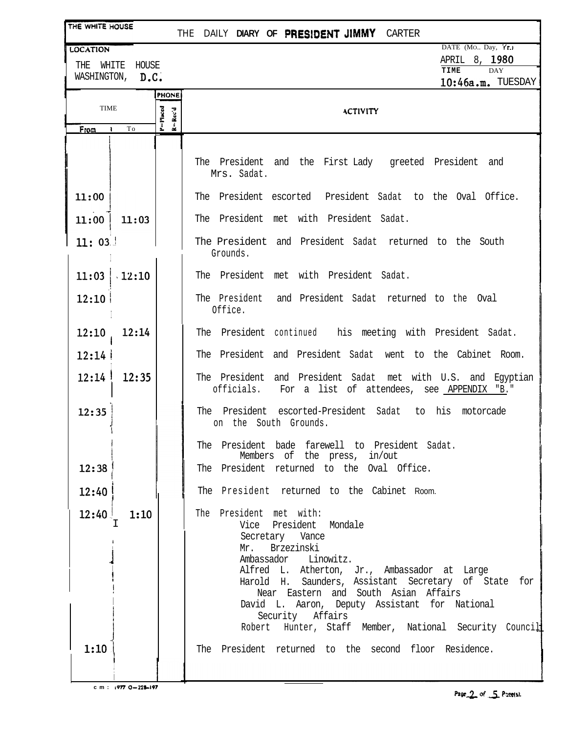| THE WHITE HOUSE                           |               |                                                                              | THE DAILY DIARY OF PRESIDENT JIMMY CARTER                                                                                                                                                                                                                                                                                                                                                     |
|-------------------------------------------|---------------|------------------------------------------------------------------------------|-----------------------------------------------------------------------------------------------------------------------------------------------------------------------------------------------------------------------------------------------------------------------------------------------------------------------------------------------------------------------------------------------|
| <b>LOCATION</b>                           |               |                                                                              | DATE (Mo., Day, Yr.)<br>APRIL 8, 1980                                                                                                                                                                                                                                                                                                                                                         |
| WHITE<br>HOUSE<br>THE<br>WASHINGTON, D.C. |               |                                                                              | TIME<br><b>DAY</b>                                                                                                                                                                                                                                                                                                                                                                            |
|                                           |               | <b>PHONE</b>                                                                 | 10:46a.m. TUESDAY                                                                                                                                                                                                                                                                                                                                                                             |
| <b>TIME</b>                               |               |                                                                              | <b>ACTIVITY</b>                                                                                                                                                                                                                                                                                                                                                                               |
| <b>From</b>                               | To            | $P = P$ laced<br>$\mathbf{k} = \mathbf{R} \mathbf{c} \mathbf{c}' \mathbf{d}$ |                                                                                                                                                                                                                                                                                                                                                                                               |
|                                           |               |                                                                              |                                                                                                                                                                                                                                                                                                                                                                                               |
|                                           |               |                                                                              | The President and the First-Lady greeted President and<br>Mrs. Sadat.                                                                                                                                                                                                                                                                                                                         |
| 11:00                                     |               |                                                                              | The President escorted President Sadat to the Oval Office.                                                                                                                                                                                                                                                                                                                                    |
| 11:00                                     | 11:03         |                                                                              | The President met with President Sadat.                                                                                                                                                                                                                                                                                                                                                       |
| 11:03.                                    |               |                                                                              | The President and President Sadat returned to the South<br>Grounds.                                                                                                                                                                                                                                                                                                                           |
|                                           | $11:03$ 12:10 |                                                                              | The President met with President Sadat.                                                                                                                                                                                                                                                                                                                                                       |
| 12:10                                     |               |                                                                              | The President and President Sadat returned to the Oval<br>Office.                                                                                                                                                                                                                                                                                                                             |
| 12:10                                     | 12:14         |                                                                              | The President continued his meeting with President Sadat.                                                                                                                                                                                                                                                                                                                                     |
| 12:14                                     |               |                                                                              | The President and President Sadat went to the Cabinet Room.                                                                                                                                                                                                                                                                                                                                   |
| 12:14                                     | 12:35         |                                                                              | The President and President Sadat met with U.S. and Egyptian<br>officials.<br>For a list of attendees, see APPENDIX "B."                                                                                                                                                                                                                                                                      |
| 12:35                                     |               |                                                                              | The President escorted-President Sadat to his motorcade<br>on the South Grounds.                                                                                                                                                                                                                                                                                                              |
|                                           |               |                                                                              | The President bade farewell to President Sadat.<br>Members of the press, in/out                                                                                                                                                                                                                                                                                                               |
| 12:38                                     |               |                                                                              | The President returned to the Oval Office.                                                                                                                                                                                                                                                                                                                                                    |
| 12:40                                     |               |                                                                              | The President returned to the Cabinet Room.                                                                                                                                                                                                                                                                                                                                                   |
| 12:40                                     | 1:10<br>т     |                                                                              | The President met with:<br>Vice President Mondale<br>Secretary Vance<br>Mr. Brzezinski<br>Ambassador Linowitz.<br>Alfred L. Atherton, Jr., Ambassador at Large<br>Harold H. Saunders, Assistant Secretary of State for<br>Near Eastern and South Asian Affairs<br>David L. Aaron, Deputy Assistant for National<br>Security Affairs<br>Robert Hunter, Staff Member, National Security Council |
| 1:10                                      |               |                                                                              | The President returned to the second floor Residence.                                                                                                                                                                                                                                                                                                                                         |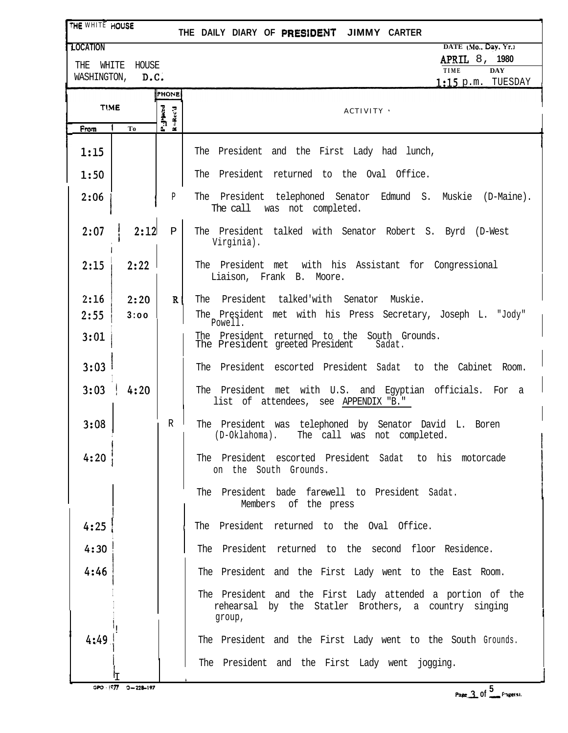| THE WHITE HOUSE                               |              | THE DAILY DIARY OF PRESIDENT JIMMY CARTER                                                                                    |  |
|-----------------------------------------------|--------------|------------------------------------------------------------------------------------------------------------------------------|--|
| <b>TLOCATION</b>                              |              | DATE (Mo., Day, Yr.)                                                                                                         |  |
| WHITE<br>HOUSE<br>THE                         |              | APRIL 8, 1980<br>TIME<br><b>DAY</b>                                                                                          |  |
| WASHINGTON,                                   | D.C.         | $1:15$ p.m. TUESDAY                                                                                                          |  |
| PHONE<br><b>TIME</b>                          |              | <b>ACTIVITY</b>                                                                                                              |  |
| $P_{\text{rad}}$<br>$R - Rec'd$<br>From<br>To |              |                                                                                                                              |  |
| 1:15                                          |              | The President and the First Lady had lunch,                                                                                  |  |
| 1:50                                          |              | The President returned to the Oval Office.                                                                                   |  |
| 2:06                                          | Р            | The President telephoned Senator Edmund S. Muskie (D-Maine).<br>The call was not completed.                                  |  |
| 2:12<br>2:07                                  | P            | The President talked with Senator Robert S. Byrd (D-West<br>Virginia).                                                       |  |
| 2:15<br>2:22                                  |              | The President met with his Assistant for Congressional<br>Liaison, Frank B. Moore.                                           |  |
| 2:16<br>2:20                                  | $\mathbf{R}$ | The President talked'with Senator Muskie.                                                                                    |  |
| 2:55<br>3:00                                  |              | The President met with his Press Secretary, Joseph L. "Jody"<br>Powell.                                                      |  |
| 3:01                                          |              | The President returned to the South Grounds.<br>The President greeted President<br>Sadat.                                    |  |
| 3:03                                          |              | The President escorted President Sadat to the Cabinet Room.                                                                  |  |
| 3:03<br>4:20                                  |              | The President met with U.S. and Egyptian officials. For a<br>list of attendees, see APPENDIX "B."                            |  |
| 3:08                                          | R            | The President was telephoned by Senator David L. Boren<br>(D-Oklahoma). The call was not completed.                          |  |
| 4:20                                          |              | The President escorted President Sadat to his motorcade<br>on the South Grounds.                                             |  |
|                                               |              | The President bade farewell to President Sadat.<br>Members of the press                                                      |  |
| 4:25                                          |              | The President returned to the Oval Office.                                                                                   |  |
| 4:30                                          |              | The President returned to the second floor Residence.                                                                        |  |
| 4:46                                          |              | The President and the First Lady went to the East Room.                                                                      |  |
|                                               |              | The President and the First Lady attended a portion of the<br>rehearsal by the Statler Brothers, a country singing<br>group, |  |
| 4:49                                          |              | The President and the First Lady went to the South Grounds.                                                                  |  |
|                                               |              | The President and the First Lady went jogging.                                                                               |  |
| GPO : 1977 0-228-197                          |              | Page $3.0f$ <sup>5</sup> Fage(s).                                                                                            |  |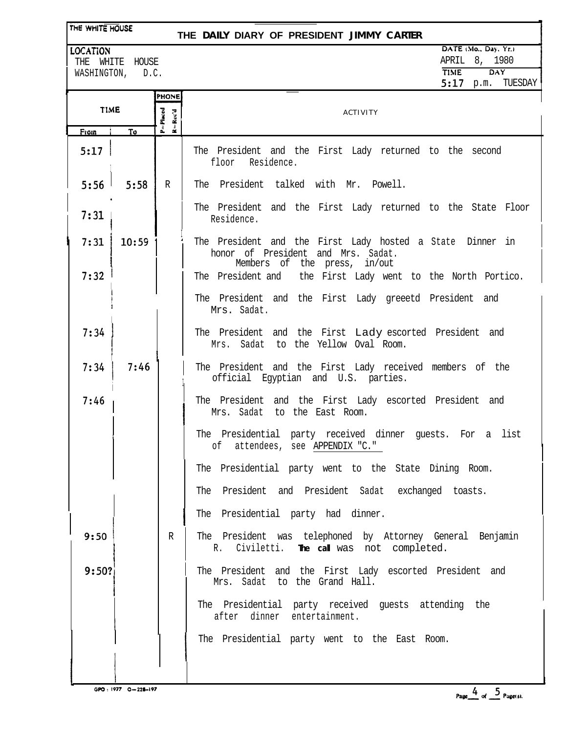## THE WHITE HOUSE

## **THE DAILY DIARY OF PRESIDENT JIMMY CARTER**

**LOCATION** 

THE WHITE HOUSE WASHINGTON, D.C.

| DATE (Mo., Day, Yr.) |      |         |
|----------------------|------|---------|
| APRIL 8, 1980        |      |         |
| <b>TIME</b>          |      | DAY     |
| 5:17                 | p.m. | TUESDAY |

|             |       | PHONE                                                                   |                                                                                                                                 |
|-------------|-------|-------------------------------------------------------------------------|---------------------------------------------------------------------------------------------------------------------------------|
| <b>TIME</b> |       | P=Placed<br>$\mathbf{R} = \mathbf{R} \mathbf{c} \mathbf{c}' \mathbf{d}$ | <b>ACTIVITY</b>                                                                                                                 |
| From        | To    |                                                                         |                                                                                                                                 |
| 5:17        |       |                                                                         | The President and the First Lady returned to the second<br>floor Residence.                                                     |
| 5:56        | 5:58  | R                                                                       | The President talked with Mr. Powell.                                                                                           |
| 7:31        |       |                                                                         | The President and the First Lady returned to the State Floor<br>Residence.                                                      |
| 7:31        | 10:59 |                                                                         | The President and the First Lady hosted a State Dinner in<br>honor of President and Mrs. Sadat.<br>Members of the press, in/out |
| 7:32        |       |                                                                         | The President and the First Lady went to the North Portico.                                                                     |
|             |       |                                                                         | The President and the First Lady greeetd President and<br>Mrs. Sadat.                                                           |
| 7:34        |       |                                                                         | The President and the First Lady escorted President and<br>Mrs. Sadat to the Yellow Oval Room.                                  |
| 7:34        | 7:46  |                                                                         | The President and the First Lady received members of the<br>official Egyptian and U.S. parties.                                 |
| 7:46        |       |                                                                         | The President and the First Lady escorted President and<br>Mrs. Sadat to the East Room.                                         |
|             |       |                                                                         | The Presidential party received dinner guests. For a list<br>of attendees, see APPENDIX "C."                                    |
|             |       |                                                                         | The Presidential party went to the State Dining Room.                                                                           |
|             |       |                                                                         | The President and President Sadat exchanged toasts.                                                                             |
|             |       |                                                                         | The Presidential party had dinner.                                                                                              |
| 9:50        |       | R                                                                       | The President was telephoned by Attorney General Benjamin<br>Civiletti. The call was not completed.<br>R.                       |
| 9:50?       |       |                                                                         | The President and the First Lady escorted President and<br>Mrs. Sadat to the Grand Hall.                                        |
|             |       |                                                                         | The Presidential party received guests attending the<br>after dinner entertainment.                                             |
|             |       |                                                                         | The Presidential party went to the East Room.                                                                                   |
|             |       |                                                                         |                                                                                                                                 |